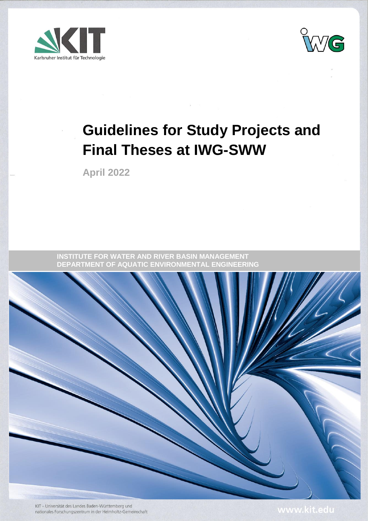



# **Guidelines for Study Projects and Final Theses at IWG-SWW**

**April 2022**

**INSTITUTE FOR WATER AND RIVER BASIN MANAGEMENT DEPARTMENT OF AQUATIC ENVIRONMENTAL ENGINEERING**



KIT - Universität des Landes Baden-Württemberg und nationales Forschungszentrum in der Helmholtz-Gemeinschaft

www.kit.edu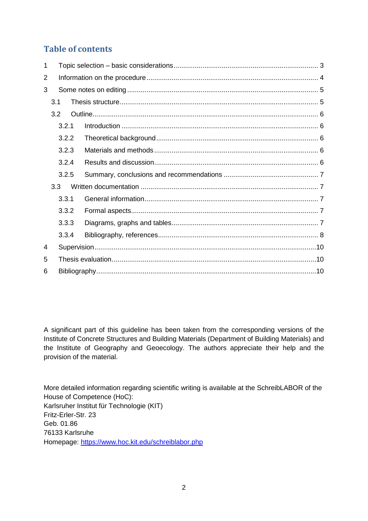# **Table of contents**

| 1 |       |       |  |  |  |  |
|---|-------|-------|--|--|--|--|
| 2 |       |       |  |  |  |  |
| 3 |       |       |  |  |  |  |
|   | 3.1   |       |  |  |  |  |
|   | 3.2   |       |  |  |  |  |
|   |       | 3.2.1 |  |  |  |  |
|   | 3.2.2 |       |  |  |  |  |
|   | 3.2.3 |       |  |  |  |  |
|   | 3.2.4 |       |  |  |  |  |
|   | 3.2.5 |       |  |  |  |  |
|   | 3.3   |       |  |  |  |  |
|   |       | 3.3.1 |  |  |  |  |
|   |       | 3.3.2 |  |  |  |  |
|   |       | 3.3.3 |  |  |  |  |
|   |       | 3.3.4 |  |  |  |  |
| 4 |       |       |  |  |  |  |
| 5 |       |       |  |  |  |  |
| 6 |       |       |  |  |  |  |

A significant part of this guideline has been taken from the corresponding versions of the Institute of Concrete Structures and Building Materials (Department of Building Materials) and the Institute of Geography and Geoecology. The authors appreciate their help and the provision of the material.

More detailed information regarding scientific writing is available at the SchreibLABOR of the House of Competence (HoC): Karlsruher Institut für Technologie (KIT) Fritz-Erler-Str. 23 Geb. 01.86 76133 Karlsruhe Homepage:<https://www.hoc.kit.edu/schreiblabor.php>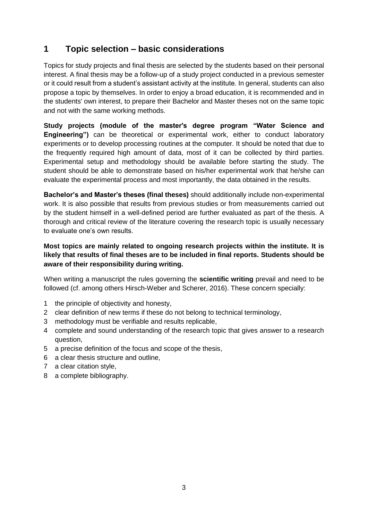# <span id="page-2-0"></span>**1 Topic selection – basic considerations**

Topics for study projects and final thesis are selected by the students based on their personal interest. A final thesis may be a follow-up of a study project conducted in a previous semester or it could result from a student's assistant activity at the institute. In general, students can also propose a topic by themselves. In order to enjoy a broad education, it is recommended and in the students' own interest, to prepare their Bachelor and Master theses not on the same topic and not with the same working methods.

**Study projects (module of the master's degree program "Water Science and Engineering")** can be theoretical or experimental work, either to conduct laboratory experiments or to develop processing routines at the computer. It should be noted that due to the frequently required high amount of data, most of it can be collected by third parties. Experimental setup and methodology should be available before starting the study. The student should be able to demonstrate based on his/her experimental work that he/she can evaluate the experimental process and most importantly, the data obtained in the results.

**Bachelor's and Master's theses (final theses)** should additionally include non-experimental work. It is also possible that results from previous studies or from measurements carried out by the student himself in a well-defined period are further evaluated as part of the thesis. A thorough and critical review of the literature covering the research topic is usually necessary to evaluate one's own results.

## **Most topics are mainly related to ongoing research projects within the institute. It is likely that results of final theses are to be included in final reports. Students should be aware of their responsibility during writing.**

When writing a manuscript the rules governing the **scientific writing** prevail and need to be followed (cf. among others Hirsch-Weber and Scherer, 2016). These concern specially:

- 1 the principle of objectivity and honesty,
- 2 clear definition of new terms if these do not belong to technical terminology,
- 3 methodology must be verifiable and results replicable,
- 4 complete and sound understanding of the research topic that gives answer to a research question,
- 5 a precise definition of the focus and scope of the thesis,
- 6 a clear thesis structure and outline,
- 7 a clear citation style,
- 8 a complete bibliography.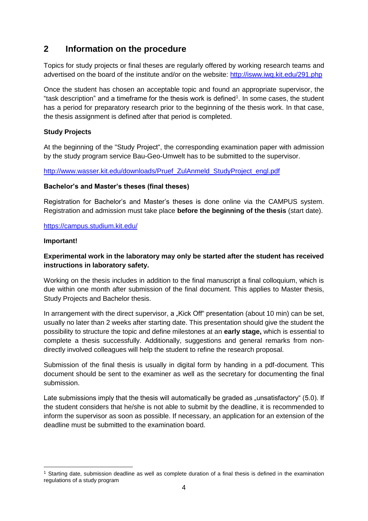# <span id="page-3-0"></span>**2 Information on the procedure**

Topics for study projects or final theses are regularly offered by working research teams and advertised on the board of the institute and/or on the website:<http://isww.iwg.kit.edu/291.php>

Once the student has chosen an acceptable topic and found an appropriate supervisor, the "task description" and a timeframe for the thesis work is defined<sup>1</sup>. In some cases, the student has a period for preparatory research prior to the beginning of the thesis work. In that case, the thesis assignment is defined after that period is completed.

#### **Study Projects**

At the beginning of the "Study Project", the corresponding examination paper with admission by the study program service Bau-Geo-Umwelt has to be submitted to the supervisor.

[http://www.wasser.kit.edu/downloads/Pruef\\_ZulAnmeld\\_StudyProject\\_engl.pdf](http://www.wasser.kit.edu/downloads/Pruef_ZulAnmeld_StudyProject_engl.pdf)

#### **Bachelor's and Master's theses (final theses)**

Registration for Bachelor's and Master's theses is done online via the CAMPUS system. Registration and admission must take place **before the beginning of the thesis** (start date).

#### <https://campus.studium.kit.edu/>

#### **Important!**

-

## **Experimental work in the laboratory may only be started after the student has received instructions in laboratory safety.**

Working on the thesis includes in addition to the final manuscript a final colloquium, which is due within one month after submission of the final document. This applies to Master thesis, Study Projects and Bachelor thesis.

In arrangement with the direct supervisor, a "Kick Off" presentation (about 10 min) can be set, usually no later than 2 weeks after starting date. This presentation should give the student the possibility to structure the topic and define milestones at an **early stage,** which is essential to complete a thesis successfully. Additionally, suggestions and general remarks from nondirectly involved colleagues will help the student to refine the research proposal.

Submission of the final thesis is usually in digital form by handing in a pdf-document. This document should be sent to the examiner as well as the secretary for documenting the final submission.

Late submissions imply that the thesis will automatically be graded as "unsatisfactory" (5.0). If the student considers that he/she is not able to submit by the deadline, it is recommended to inform the supervisor as soon as possible. If necessary, an application for an extension of the deadline must be submitted to the examination board.

<sup>1</sup> Starting date, submission deadline as well as complete duration of a final thesis is defined in the examination regulations of a study program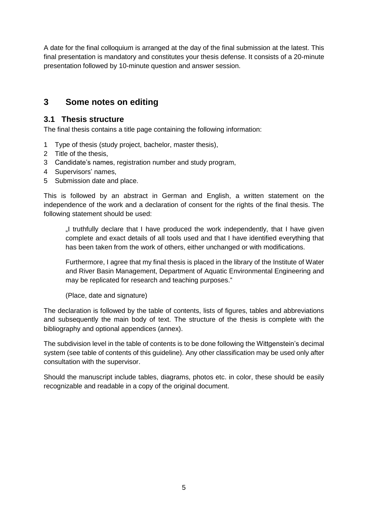A date for the final colloquium is arranged at the day of the final submission at the latest. This final presentation is mandatory and constitutes your thesis defense. It consists of a 20-minute presentation followed by 10-minute question and answer session.

# <span id="page-4-0"></span>**3 Some notes on editing**

## <span id="page-4-1"></span>**3.1 Thesis structure**

The final thesis contains a title page containing the following information:

- 1 Type of thesis (study project, bachelor, master thesis),
- 2 Title of the thesis,
- 3 Candidate's names, registration number and study program,
- 4 Supervisors' names,
- 5 Submission date and place.

This is followed by an abstract in German and English, a written statement on the independence of the work and a declaration of consent for the rights of the final thesis. The following statement should be used:

"I truthfully declare that I have produced the work independently, that I have given complete and exact details of all tools used and that I have identified everything that has been taken from the work of others, either unchanged or with modifications.

Furthermore, I agree that my final thesis is placed in the library of the Institute of Water and River Basin Management, Department of Aquatic Environmental Engineering and may be replicated for research and teaching purposes."

(Place, date and signature)

The declaration is followed by the table of contents, lists of figures, tables and abbreviations and subsequently the main body of text. The structure of the thesis is complete with the bibliography and optional appendices (annex).

The subdivision level in the table of contents is to be done following the Wittgenstein's decimal system (see table of contents of this guideline). Any other classification may be used only after consultation with the supervisor.

Should the manuscript include tables, diagrams, photos etc. in color, these should be easily recognizable and readable in a copy of the original document.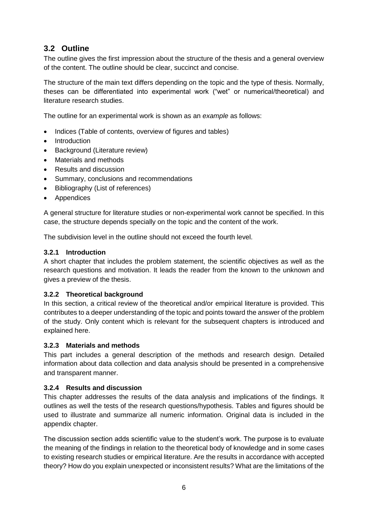## <span id="page-5-0"></span>**3.2 Outline**

The outline gives the first impression about the structure of the thesis and a general overview of the content. The outline should be clear, succinct and concise.

The structure of the main text differs depending on the topic and the type of thesis. Normally, theses can be differentiated into experimental work ("wet" or numerical/theoretical) and literature research studies.

The outline for an experimental work is shown as an *example* as follows:

- Indices (Table of contents, overview of figures and tables)
- Introduction
- Background (Literature review)
- Materials and methods
- Results and discussion
- Summary, conclusions and recommendations
- Bibliography (List of references)
- Appendices

A general structure for literature studies or non-experimental work cannot be specified. In this case, the structure depends specially on the topic and the content of the work.

The subdivision level in the outline should not exceed the fourth level.

#### <span id="page-5-1"></span>**3.2.1 Introduction**

A short chapter that includes the problem statement, the scientific objectives as well as the research questions and motivation. It leads the reader from the known to the unknown and gives a preview of the thesis.

#### <span id="page-5-2"></span>**3.2.2 Theoretical background**

In this section, a critical review of the theoretical and/or empirical literature is provided. This contributes to a deeper understanding of the topic and points toward the answer of the problem of the study. Only content which is relevant for the subsequent chapters is introduced and explained here.

#### <span id="page-5-3"></span>**3.2.3 Materials and methods**

This part includes a general description of the methods and research design. Detailed information about data collection and data analysis should be presented in a comprehensive and transparent manner.

#### <span id="page-5-4"></span>**3.2.4 Results and discussion**

This chapter addresses the results of the data analysis and implications of the findings. It outlines as well the tests of the research questions/hypothesis. Tables and figures should be used to illustrate and summarize all numeric information. Original data is included in the appendix chapter.

The discussion section adds scientific value to the student's work. The purpose is to evaluate the meaning of the findings in relation to the theoretical body of knowledge and in some cases to existing research studies or empirical literature. Are the results in accordance with accepted theory? How do you explain unexpected or inconsistent results? What are the limitations of the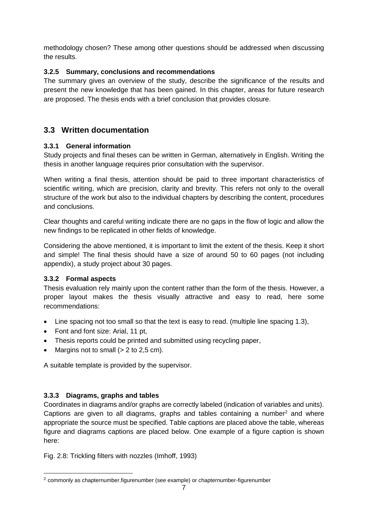methodology chosen? These among other questions should be addressed when discussing the results.

## <span id="page-6-0"></span>**3.2.5 Summary, conclusions and recommendations**

The summary gives an overview of the study, describe the significance of the results and present the new knowledge that has been gained. In this chapter, areas for future research are proposed. The thesis ends with a brief conclusion that provides closure.

# <span id="page-6-1"></span>**3.3 Written documentation**

## <span id="page-6-2"></span>**3.3.1 General information**

Study projects and final theses can be written in German, alternatively in English. Writing the thesis in another language requires prior consultation with the supervisor.

When writing a final thesis, attention should be paid to three important characteristics of scientific writing, which are precision, clarity and brevity. This refers not only to the overall structure of the work but also to the individual chapters by describing the content, procedures and conclusions.

Clear thoughts and careful writing indicate there are no gaps in the flow of logic and allow the new findings to be replicated in other fields of knowledge.

Considering the above mentioned, it is important to limit the extent of the thesis. Keep it short and simple! The final thesis should have a size of around 50 to 60 pages (not including appendix), a study project about 30 pages.

## <span id="page-6-3"></span>**3.3.2 Formal aspects**

Thesis evaluation rely mainly upon the content rather than the form of the thesis. However, a proper layout makes the thesis visually attractive and easy to read, here some recommendations:

- Line spacing not too small so that the text is easy to read. (multiple line spacing 1.3),
- Font and font size: Arial, 11 pt,
- Thesis reports could be printed and submitted using recycling paper,
- Margins not to small  $(> 2$  to 2,5 cm).

A suitable template is provided by the supervisor.

## <span id="page-6-4"></span>**3.3.3 Diagrams, graphs and tables**

1

Coordinates in diagrams and/or graphs are correctly labeled (indication of variables and units). Captions are given to all diagrams, graphs and tables containing a number<sup>2</sup> and where appropriate the source must be specified. Table captions are placed above the table, whereas figure and diagrams captions are placed below. One example of a figure caption is shown here:

Fig. 2.8: Trickling filters with nozzles (Imhoff, 1993)

<sup>2</sup> commonly as chapternumber.figurenumber (see example) or chapternumber-figurenumber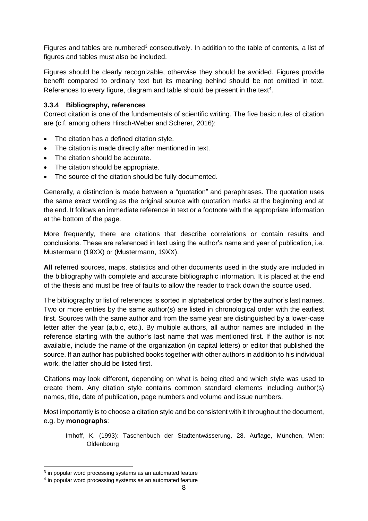Figures and tables are numbered<sup>3</sup> consecutively. In addition to the table of contents, a list of figures and tables must also be included.

Figures should be clearly recognizable, otherwise they should be avoided. Figures provide benefit compared to ordinary text but its meaning behind should be not omitted in text. References to every figure, diagram and table should be present in the text<sup>4</sup>.

#### <span id="page-7-0"></span>**3.3.4 Bibliography, references**

Correct citation is one of the fundamentals of scientific writing. The five basic rules of citation are (c.f. among others Hirsch-Weber and Scherer, 2016):

- The citation has a defined citation style.
- The citation is made directly after mentioned in text.
- The citation should be accurate.
- The citation should be appropriate.
- The source of the citation should be fully documented.

Generally, a distinction is made between a "quotation" and paraphrases. The quotation uses the same exact wording as the original source with quotation marks at the beginning and at the end. It follows an immediate reference in text or a footnote with the appropriate information at the bottom of the page.

More frequently, there are citations that describe correlations or contain results and conclusions. These are referenced in text using the author's name and year of publication, i.e. Mustermann (19XX) or (Mustermann, 19XX).

**All** referred sources, maps, statistics and other documents used in the study are included in the bibliography with complete and accurate bibliographic information. It is placed at the end of the thesis and must be free of faults to allow the reader to track down the source used.

The bibliography or list of references is sorted in alphabetical order by the author's last names. Two or more entries by the same author(s) are listed in chronological order with the earliest first. Sources with the same author and from the same year are distinguished by a lower-case letter after the year (a,b,c, etc.). By multiple authors, all author names are included in the reference starting with the author's last name that was mentioned first. If the author is not available, include the name of the organization (in capital letters) or editor that published the source. If an author has published books together with other authors in addition to his individual work, the latter should be listed first.

Citations may look different, depending on what is being cited and which style was used to create them. Any citation style contains common standard elements including author(s) names, title, date of publication, page numbers and volume and issue numbers.

Most importantly is to choose a citation style and be consistent with it throughout the document, e.g. by **monographs**:

Imhoff, K. (1993): Taschenbuch der Stadtentwässerung, 28. Auflage, München, Wien: Oldenbourg

-

 $3$  in popular word processing systems as an automated feature

<sup>&</sup>lt;sup>4</sup> in popular word processing systems as an automated feature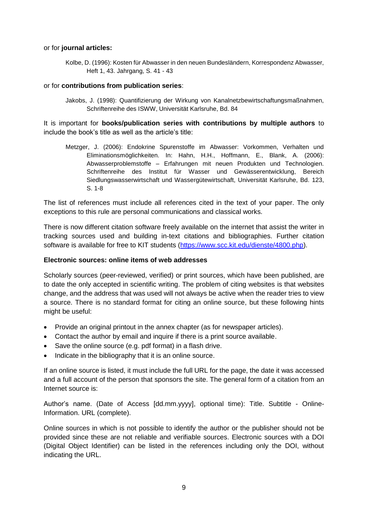#### or for **journal articles:**

Kolbe, D. (1996): Kosten für Abwasser in den neuen Bundesländern, Korrespondenz Abwasser, Heft 1, 43. Jahrgang, S. 41 - 43

#### or for **contributions from publication series**:

Jakobs, J. (1998): Quantifizierung der Wirkung von Kanalnetzbewirtschaftungsmaßnahmen, Schriftenreihe des ISWW, Universität Karlsruhe, Bd. 84

It is important for **books/publication series with contributions by multiple authors** to include the book's title as well as the article's title:

Metzger, J. (2006): Endokrine Spurenstoffe im Abwasser: Vorkommen, Verhalten und Eliminationsmöglichkeiten. In: Hahn, H.H., Hoffmann, E., Blank, A. (2006): Abwasserproblemstoffe – Erfahrungen mit neuen Produkten und Technologien. Schriftenreihe des Institut für Wasser und Gewässerentwicklung, Bereich Siedlungswasserwirtschaft und Wassergütewirtschaft, Universität Karlsruhe, Bd. 123, S. 1-8

The list of references must include all references cited in the text of your paper. The only exceptions to this rule are personal communications and classical works.

There is now different citation software freely available on the internet that assist the writer in tracking sources used and building in-text citations and bibliographies. Further citation software is available for free to KIT students [\(https://www.scc.kit.edu/dienste/4800.php\)](https://www.scc.kit.edu/dienste/4800.php).

#### **Electronic sources: online items of web addresses**

Scholarly sources (peer-reviewed, verified) or print sources, which have been published, are to date the only accepted in scientific writing. The problem of citing websites is that websites change, and the address that was used will not always be active when the reader tries to view a source. There is no standard format for citing an online source, but these following hints might be useful:

- Provide an original printout in the annex chapter (as for newspaper articles).
- Contact the author by email and inquire if there is a print source available.
- Save the online source (e.g. pdf format) in a flash drive.
- Indicate in the bibliography that it is an online source.

If an online source is listed, it must include the full URL for the page, the date it was accessed and a full account of the person that sponsors the site. The general form of a citation from an Internet source is:

Author's name. (Date of Access [dd.mm.yyyy], optional time): Title. Subtitle - Online-Information. URL (complete).

Online sources in which is not possible to identify the author or the publisher should not be provided since these are not reliable and verifiable sources. Electronic sources with a DOI (Digital Object Identifier) can be listed in the references including only the DOI, without indicating the URL.